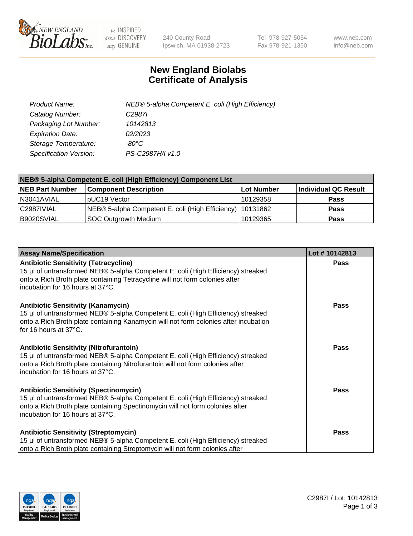

 $be$  INSPIRED drive DISCOVERY stay GENUINE

240 County Road Ipswich, MA 01938-2723 Tel 978-927-5054 Fax 978-921-1350 www.neb.com info@neb.com

## **New England Biolabs Certificate of Analysis**

| Product Name:           | NEB® 5-alpha Competent E. coli (High Efficiency) |
|-------------------------|--------------------------------------------------|
| Catalog Number:         | C <sub>2987</sub>                                |
| Packaging Lot Number:   | 10142813                                         |
| <b>Expiration Date:</b> | 02/2023                                          |
| Storage Temperature:    | -80°C                                            |
| Specification Version:  | PS-C2987H/I v1.0                                 |

| NEB® 5-alpha Competent E. coli (High Efficiency) Component List |                                                             |            |                      |  |
|-----------------------------------------------------------------|-------------------------------------------------------------|------------|----------------------|--|
| <b>NEB Part Number</b>                                          | <b>Component Description</b>                                | Lot Number | Individual QC Result |  |
| N3041AVIAL                                                      | pUC19 Vector                                                | 10129358   | <b>Pass</b>          |  |
| C2987IVIAL                                                      | NEB® 5-alpha Competent E. coli (High Efficiency)   10131862 |            | <b>Pass</b>          |  |
| B9020SVIAL                                                      | <b>SOC Outgrowth Medium</b>                                 | 10129365   | <b>Pass</b>          |  |

| <b>Assay Name/Specification</b>                                                                                                                                                                                                                          | Lot #10142813 |
|----------------------------------------------------------------------------------------------------------------------------------------------------------------------------------------------------------------------------------------------------------|---------------|
| <b>Antibiotic Sensitivity (Tetracycline)</b><br>15 µl of untransformed NEB® 5-alpha Competent E. coli (High Efficiency) streaked<br>onto a Rich Broth plate containing Tetracycline will not form colonies after<br>incubation for 16 hours at 37°C.     | Pass          |
| <b>Antibiotic Sensitivity (Kanamycin)</b><br>15 µl of untransformed NEB® 5-alpha Competent E. coli (High Efficiency) streaked<br>onto a Rich Broth plate containing Kanamycin will not form colonies after incubation<br>for 16 hours at 37°C.           | <b>Pass</b>   |
| <b>Antibiotic Sensitivity (Nitrofurantoin)</b><br>15 µl of untransformed NEB® 5-alpha Competent E. coli (High Efficiency) streaked<br>onto a Rich Broth plate containing Nitrofurantoin will not form colonies after<br>incubation for 16 hours at 37°C. | Pass          |
| <b>Antibiotic Sensitivity (Spectinomycin)</b><br>15 µl of untransformed NEB® 5-alpha Competent E. coli (High Efficiency) streaked<br>onto a Rich Broth plate containing Spectinomycin will not form colonies after<br>incubation for 16 hours at 37°C.   | Pass          |
| <b>Antibiotic Sensitivity (Streptomycin)</b><br>15 µl of untransformed NEB® 5-alpha Competent E. coli (High Efficiency) streaked<br>onto a Rich Broth plate containing Streptomycin will not form colonies after                                         | Pass          |

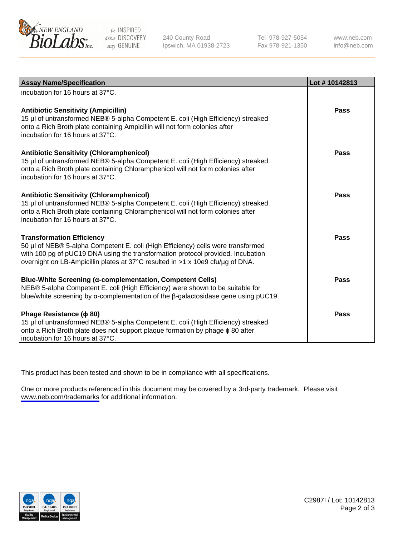

be INSPIRED drive DISCOVERY stay GENUINE

240 County Road Ipswich, MA 01938-2723 Tel 978-927-5054 Fax 978-921-1350

www.neb.com info@neb.com

| <b>Assay Name/Specification</b>                                                                                                                                                                                                                                                           | Lot #10142813 |
|-------------------------------------------------------------------------------------------------------------------------------------------------------------------------------------------------------------------------------------------------------------------------------------------|---------------|
| incubation for 16 hours at 37°C.                                                                                                                                                                                                                                                          |               |
| <b>Antibiotic Sensitivity (Ampicillin)</b><br>15 µl of untransformed NEB® 5-alpha Competent E. coli (High Efficiency) streaked<br>onto a Rich Broth plate containing Ampicillin will not form colonies after<br>incubation for 16 hours at 37°C.                                          | <b>Pass</b>   |
| <b>Antibiotic Sensitivity (Chloramphenicol)</b><br>15 µl of untransformed NEB® 5-alpha Competent E. coli (High Efficiency) streaked<br>onto a Rich Broth plate containing Chloramphenicol will not form colonies after<br>incubation for 16 hours at 37°C.                                | Pass          |
| <b>Antibiotic Sensitivity (Chloramphenicol)</b><br>15 µl of untransformed NEB® 5-alpha Competent E. coli (High Efficiency) streaked<br>onto a Rich Broth plate containing Chloramphenicol will not form colonies after<br>incubation for 16 hours at 37°C.                                | <b>Pass</b>   |
| <b>Transformation Efficiency</b><br>50 µl of NEB® 5-alpha Competent E. coli (High Efficiency) cells were transformed<br>with 100 pg of pUC19 DNA using the transformation protocol provided. Incubation<br>overnight on LB-Ampicillin plates at 37°C resulted in >1 x 10e9 cfu/ug of DNA. | Pass          |
| <b>Blue-White Screening (α-complementation, Competent Cells)</b><br>NEB® 5-alpha Competent E. coli (High Efficiency) were shown to be suitable for<br>blue/white screening by $\alpha$ -complementation of the $\beta$ -galactosidase gene using pUC19.                                   | <b>Pass</b>   |
| Phage Resistance ( $\phi$ 80)<br>15 µl of untransformed NEB® 5-alpha Competent E. coli (High Efficiency) streaked<br>onto a Rich Broth plate does not support plaque formation by phage $\phi$ 80 after<br>incubation for 16 hours at 37°C.                                               | <b>Pass</b>   |

This product has been tested and shown to be in compliance with all specifications.

One or more products referenced in this document may be covered by a 3rd-party trademark. Please visit <www.neb.com/trademarks>for additional information.